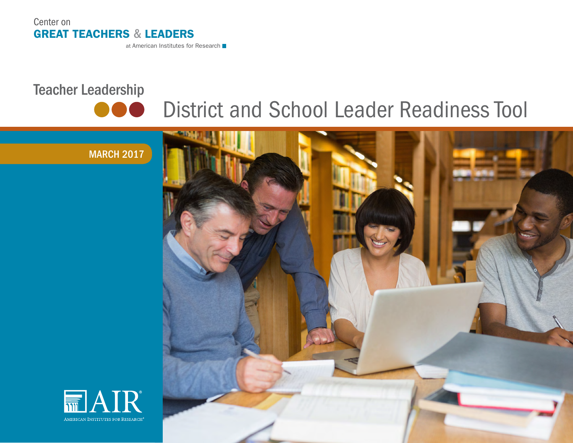

at American Institutes for Research

# Teacher Leadership



# District and School Leader Readiness Tool





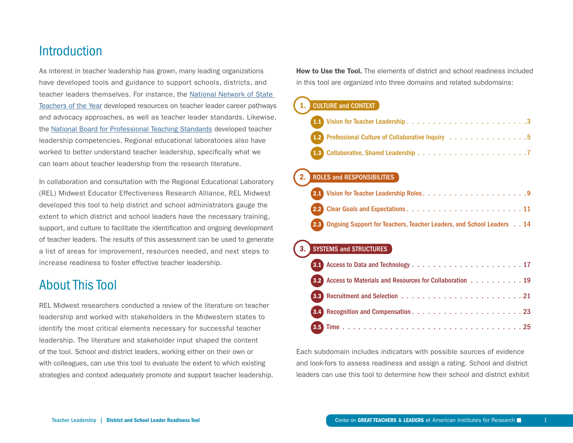## **Introduction**

As interest in teacher leadership has grown, many leading organizations have developed tools and guidance to support schools, districts, and teacher leaders themselves. For instance, the [National Network of State](http://www.nnstoy.org/)  [Teachers of the Year](http://www.nnstoy.org/) developed resources on teacher leader career pathways and advocacy approaches, as well as teacher leader standards. Likewise, the [National Board for Professional Teaching Standards](http://www.boardcertifiedteachers.org/) developed teacher leadership competencies. Regional educational laboratories also have worked to better understand teacher leadership, specifically what we can learn about teacher leadership from the research literature.

In collaboration and consultation with the Regional Educational Laboratory (REL) Midwest Educator Effectiveness Research Alliance, REL Midwest developed this tool to help district and school administrators gauge the extent to which district and school leaders have the necessary training, support, and culture to facilitate the identification and ongoing development of teacher leaders. The results of this assessment can be used to generate a list of areas for improvement, resources needed, and next steps to increase readiness to foster effective teacher leadership.

# About This Tool

REL Midwest researchers conducted a review of the literature on teacher leadership and worked with stakeholders in the Midwestern states to identify the most critical elements necessary for successful teacher leadership. The literature and stakeholder input shaped the content of the tool. School and district leaders, working either on their own or with colleagues, can use this tool to evaluate the extent to which existing strategies and context adequately promote and support teacher leadership. **How to Use the Tool.** The elements of district and school readiness included in this tool are organized into three domains and related subdomains:

## 1. [CULTURE and CONTEXT](#page-3-0)

| 1.2 Professional Culture of Collaborative Inquiry 5 |  |  |  |  |  |  |  |
|-----------------------------------------------------|--|--|--|--|--|--|--|
|                                                     |  |  |  |  |  |  |  |

#### 2. [ROLES and RESPONSIBILITIES](#page-9-0)

| 2.3 Ongoing Support for Teachers, Teacher Leaders, and School Leaders 14 |  |  |
|--------------------------------------------------------------------------|--|--|

#### **[SYSTEMS and STRUCTURES](#page-17-0)**

| 3.2 Access to Materials and Resources for Collaboration 19 |
|------------------------------------------------------------|
|                                                            |
|                                                            |
|                                                            |

Each subdomain includes indicators with possible sources of evidence and look-fors to assess readiness and assign a rating. School and district leaders can use this tool to determine how their school and district exhibit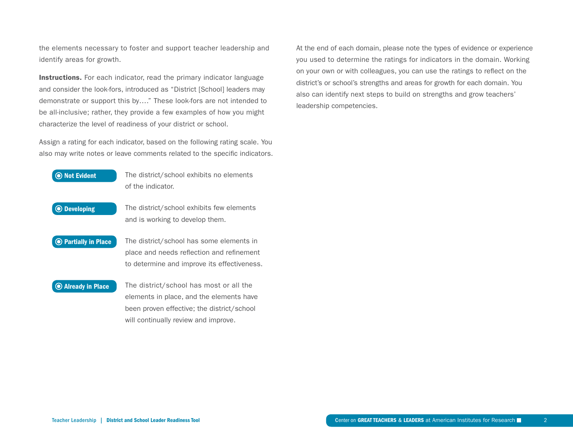the elements necessary to foster and support teacher leadership and identify areas for growth.

Instructions. For each indicator, read the primary indicator language and consider the look-fors, introduced as "District [School] leaders may demonstrate or support this by…." These look-fors are not intended to be all-inclusive; rather, they provide a few examples of how you might characterize the level of readiness of your district or school.

Assign a rating for each indicator, based on the following rating scale. You also may write notes or leave comments related to the specific indicators.



At the end of each domain, please note the types of evidence or experience you used to determine the ratings for indicators in the domain. Working on your own or with colleagues, you can use the ratings to reflect on the district's or school's strengths and areas for growth for each domain. You also can identify next steps to build on strengths and grow teachers' leadership competencies.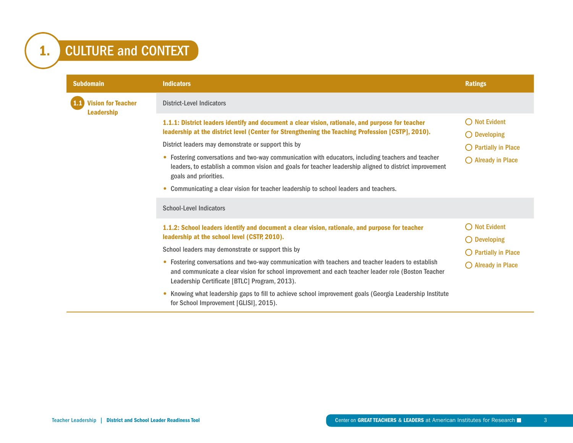# <span id="page-3-0"></span>1. CULTURE and CONTEXT

| <b>Subdomain</b>          | <b>Indicators</b>                                                                                                                                                                                                                                                                                                                                                                                                                                                                                                                                                                              | <b>Ratings</b>                                                                                                  |
|---------------------------|------------------------------------------------------------------------------------------------------------------------------------------------------------------------------------------------------------------------------------------------------------------------------------------------------------------------------------------------------------------------------------------------------------------------------------------------------------------------------------------------------------------------------------------------------------------------------------------------|-----------------------------------------------------------------------------------------------------------------|
| <b>Vision for Teacher</b> | <b>District-Level Indicators</b>                                                                                                                                                                                                                                                                                                                                                                                                                                                                                                                                                               |                                                                                                                 |
| <b>Leadership</b>         | 1.1.1: District leaders identify and document a clear vision, rationale, and purpose for teacher<br>leadership at the district level (Center for Strengthening the Teaching Profession [CSTP], 2010).<br>District leaders may demonstrate or support this by<br>• Fostering conversations and two-way communication with educators, including teachers and teacher<br>leaders, to establish a common vision and goals for teacher leadership aligned to district improvement<br>goals and priorities.<br>• Communicating a clear vision for teacher leadership to school leaders and teachers. | $\bigcirc$ Not Evident<br>$\bigcirc$ Developing<br>$\bigcirc$ Partially in Place<br>$\bigcirc$ Already in Place |
|                           | <b>School-Level Indicators</b>                                                                                                                                                                                                                                                                                                                                                                                                                                                                                                                                                                 |                                                                                                                 |
|                           | 1.1.2: School leaders identify and document a clear vision, rationale, and purpose for teacher<br>leadership at the school level (CSTP, 2010).<br>School leaders may demonstrate or support this by                                                                                                                                                                                                                                                                                                                                                                                            | $\bigcirc$ Not Evident<br>$\bigcirc$ Developing<br>$\bigcirc$ Partially in Place                                |
|                           | • Fostering conversations and two-way communication with teachers and teacher leaders to establish<br>and communicate a clear vision for school improvement and each teacher leader role (Boston Teacher<br>Leadership Certificate [BTLC] Program, 2013).                                                                                                                                                                                                                                                                                                                                      | $\bigcirc$ Already in Place                                                                                     |
|                           | Knowing what leadership gaps to fill to achieve school improvement goals (Georgia Leadership Institute<br>$\bullet$<br>for School Improvement [GLISI], 2015).                                                                                                                                                                                                                                                                                                                                                                                                                                  |                                                                                                                 |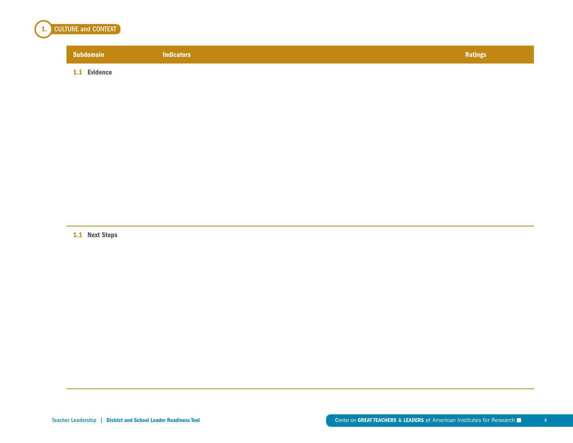

1.1 Evidence

1.1 Next Steps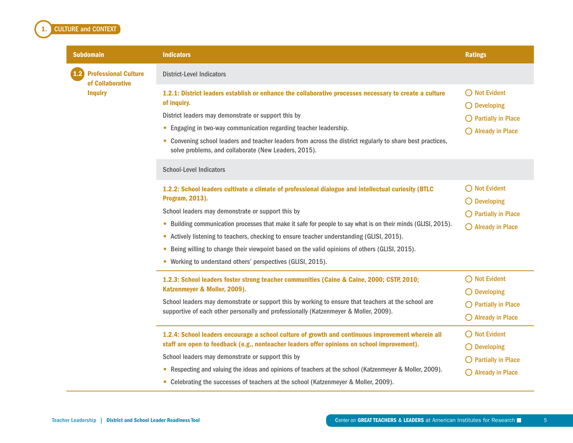## <span id="page-5-0"></span>**CULTURE and CONTEXT** Subdomain Indicators Ratings (Research Description of the Control of the Control of the Control of the Ratings **Professional Culture** of Collaborative **Inquiry** District-Level Indicators 1.2.1: District leaders establish or enhance the collaborative processes necessary to create a culture of inquiry. District leaders may demonstrate or support this by • Engaging in two-way communication regarding teacher leadership. • Convening school leaders and teacher leaders from across the district regularly to share best practices, solve problems, and collaborate (New Leaders, 2015). School-Level Indicators 1.2.2: School leaders cultivate a climate of professional dialogue and intellectual curiosity (BTLC Program, 2013). School leaders may demonstrate or support this by • Building communication processes that make it safe for people to say what is on their minds (GLISI, 2015). • Actively listening to teachers, checking to ensure teacher understanding (GLISI, 2015). • Being willing to change their viewpoint based on the valid opinions of others (GLISI, 2015). • Working to understand others' perspectives (GLISI, 2015).

| 1.2.3: School leaders foster strong teacher communities (Caine & Caine, 2000; CSTP, 2010;                  | $\bigcirc$ Not Evident        |  |
|------------------------------------------------------------------------------------------------------------|-------------------------------|--|
| Katzenmeyer & Moller, 2009).                                                                               | $\bigcirc$ Developing         |  |
| School leaders may demonstrate or support this by working to ensure that teachers at the school are        | $\bigcirc$ Partially in Place |  |
| supportive of each other personally and professionally (Katzenmeyer & Moller, 2009).                       | $\bigcirc$ Already in Place   |  |
| 1.2.4: School leaders encourage a school culture of growth and continuous improvement wherein all          | $\bigcirc$ Not Evident        |  |
| staff are open to feedback (e.g., nonteacher leaders offer opinions on school improvement).                | $\bigcirc$ Developing         |  |
| School leaders may demonstrate or support this by                                                          | $\bigcirc$ Partially in Place |  |
| Respecting and valuing the ideas and opinions of teachers at the school (Katzenmeyer & Moller, 2009).<br>۰ | $\bigcirc$ Already in Place   |  |
| Celebrating the successes of teachers at the school (Katzenmeyer & Moller, 2009).                          |                               |  |

 $\bigcirc$  Not Evident  $\bigcirc$  Developing

 $\bigcap$  Not Evident  $O$  Developing

 $\bigcirc$  Partially in Place  $\bigcirc$  Already in Place

 $\bigcirc$  Partially in Place  $\bigcirc$  Already in Place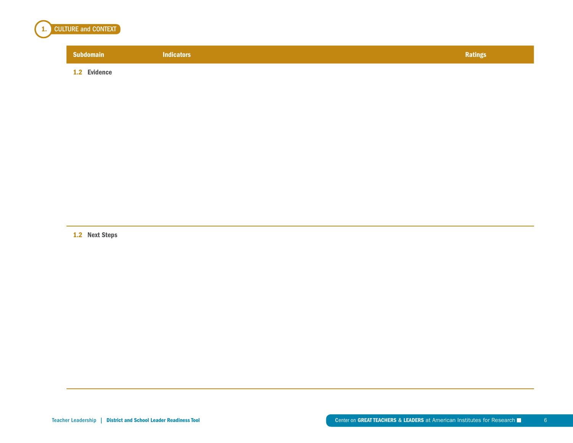

1.2 Evidence

1.2 Next Steps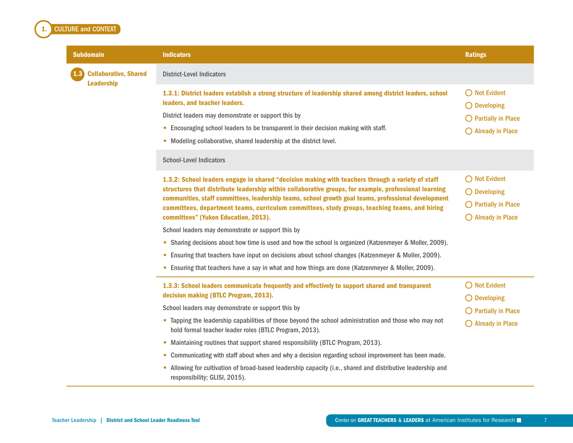#### Subdomain Indicators Ratings (Research Description of the Control of the Control of the Control of the Ratings **Collaborative, Shared** Leadership District-Level Indicators 1.3.1: District leaders establish a strong structure of leadership shared among district leaders, school leaders, and teacher leaders. District leaders may demonstrate or support this by • Encouraging school leaders to be transparent in their decision making with staff. • Modeling collaborative, shared leadership at the district level. ◯ Not Evident  $O$  Developing  $\bigcirc$  Partially in Place  $\bigcirc$  Already in Place School-Level Indicators 1.3.2: School leaders engage in shared "decision making with teachers through a variety of staff structures that distribute leadership within collaborative groups, for example, professional learning communities, staff committees, leadership teams, school growth goal teams, professional development committees, department teams, curriculum committees, study groups, teaching teams, and hiring committees" (Yukon Education, 2013). School leaders may demonstrate or support this by • Sharing decisions about how time is used and how the school is organized (Katzenmeyer & Moller, 2009). • Ensuring that teachers have input on decisions about school changes (Katzenmeyer & Moller, 2009). • Ensuring that teachers have a say in what and how things are done (Katzenmeyer & Moller, 2009).  $\bigcirc$  Not Evident O Developing  $\bigcirc$  Partially in Place  $\bigcirc$  Already in Place 1.3.3: School leaders communicate frequently and effectively to support shared and transparent decision making (BTLC Program, 2013). School leaders may demonstrate or support this by • Tapping the leadership capabilities of those beyond the school administration and those who may not hold formal teacher leader roles (BTLC Program, 2013). • Maintaining routines that support shared responsibility (BTLC Program, 2013). • Communicating with staff about when and why a decision regarding school improvement has been made. • Allowing for cultivation of broad-based leadership capacity (i.e., shared and distributive leadership and responsibility; GLISI, 2015). ◯ Not Evident O Developing  $\bigcirc$  Partially in Place  $\bigcirc$  Already in Place

<span id="page-7-0"></span>**CULTURE and CONTEXT**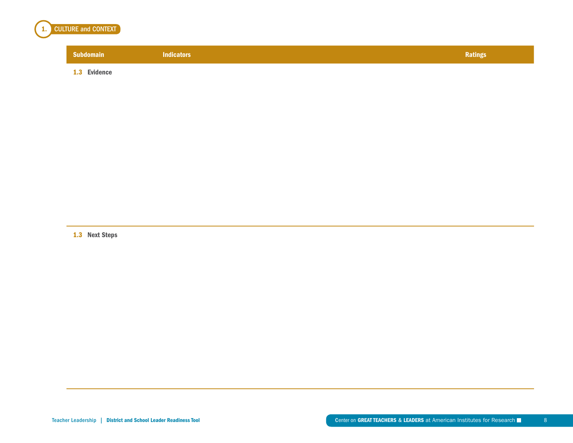

1.3 Evidence

1.3 Next Steps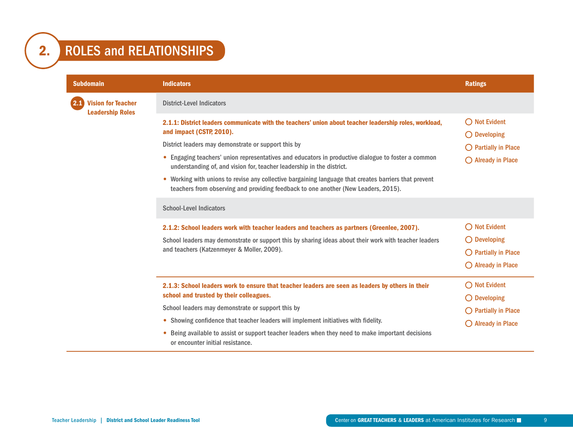<span id="page-9-0"></span>

| <b>Subdomain</b>                                     | <b>Indicators</b>                                                                                                                                                                                                                                                                                                                                                                                                                                                                                                                                                          | <b>Ratings</b>                                                                                                  |
|------------------------------------------------------|----------------------------------------------------------------------------------------------------------------------------------------------------------------------------------------------------------------------------------------------------------------------------------------------------------------------------------------------------------------------------------------------------------------------------------------------------------------------------------------------------------------------------------------------------------------------------|-----------------------------------------------------------------------------------------------------------------|
| <b>Vision for Teacher</b><br><b>Leadership Roles</b> | <b>District-Level Indicators</b>                                                                                                                                                                                                                                                                                                                                                                                                                                                                                                                                           |                                                                                                                 |
|                                                      | 2.1.1: District leaders communicate with the teachers' union about teacher leadership roles, workload,<br>and impact (CSTP, 2010).<br>District leaders may demonstrate or support this by<br>• Engaging teachers' union representatives and educators in productive dialogue to foster a common<br>understanding of, and vision for, teacher leadership in the district.<br>Working with unions to revise any collective bargaining language that creates barriers that prevent<br>۰<br>teachers from observing and providing feedback to one another (New Leaders, 2015). | $\bigcirc$ Not Evident<br>$\bigcirc$ Developing<br>$\bigcirc$ Partially in Place<br>$\bigcirc$ Already in Place |
|                                                      | <b>School-Level Indicators</b>                                                                                                                                                                                                                                                                                                                                                                                                                                                                                                                                             |                                                                                                                 |
|                                                      | 2.1.2: School leaders work with teacher leaders and teachers as partners (Greenlee, 2007).<br>School leaders may demonstrate or support this by sharing ideas about their work with teacher leaders<br>and teachers (Katzenmeyer & Moller, 2009).                                                                                                                                                                                                                                                                                                                          | $\bigcirc$ Not Evident<br>$\bigcirc$ Developing<br>$\bigcirc$ Partially in Place<br>$\bigcirc$ Already in Place |
|                                                      | 2.1.3: School leaders work to ensure that teacher leaders are seen as leaders by others in their<br>school and trusted by their colleagues.                                                                                                                                                                                                                                                                                                                                                                                                                                | $\bigcirc$ Not Evident<br>$\bigcirc$ Developing                                                                 |
|                                                      | School leaders may demonstrate or support this by                                                                                                                                                                                                                                                                                                                                                                                                                                                                                                                          | $\bigcirc$ Partially in Place                                                                                   |
|                                                      | • Showing confidence that teacher leaders will implement initiatives with fidelity.                                                                                                                                                                                                                                                                                                                                                                                                                                                                                        | $\bigcirc$ Already in Place                                                                                     |
|                                                      | Being available to assist or support teacher leaders when they need to make important decisions<br>or encounter initial resistance.                                                                                                                                                                                                                                                                                                                                                                                                                                        |                                                                                                                 |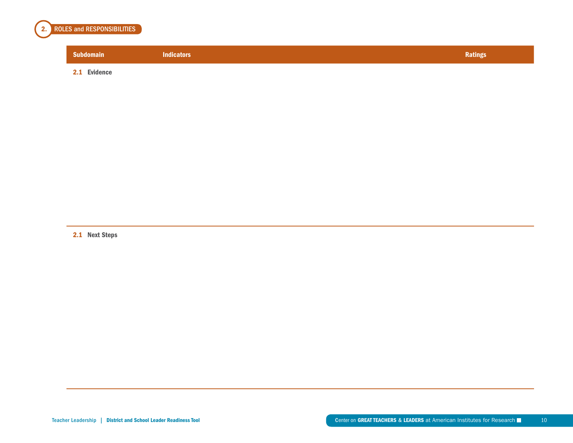

| <b>Subdomain</b> | <b>Indicators</b> | Ratings |
|------------------|-------------------|---------|
| Evidence<br>2.1  |                   |         |

2.1 Next Steps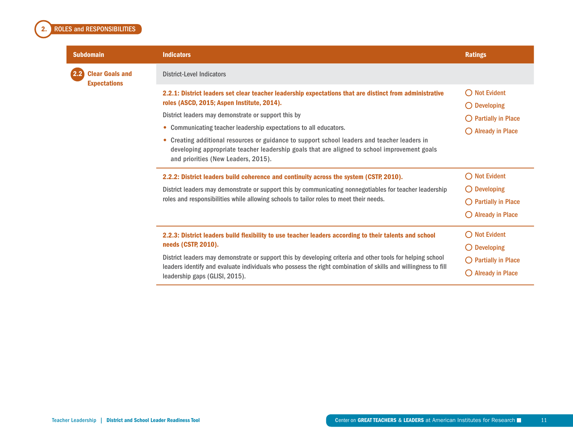## <span id="page-11-0"></span>2. ROLES and RESPONSIBILITIES

 $2.2$ 

| <b>Subdomain</b>                                             | <b>Indicators</b>                                                                                                                                                                                                                                                                                                                                                                                                                                                                                                        | <b>Ratings</b>                                                                                                            |
|--------------------------------------------------------------|--------------------------------------------------------------------------------------------------------------------------------------------------------------------------------------------------------------------------------------------------------------------------------------------------------------------------------------------------------------------------------------------------------------------------------------------------------------------------------------------------------------------------|---------------------------------------------------------------------------------------------------------------------------|
| $2.2^\circ$<br><b>Clear Goals and</b><br><b>Expectations</b> | <b>District-Level Indicators</b>                                                                                                                                                                                                                                                                                                                                                                                                                                                                                         |                                                                                                                           |
|                                                              | 2.2.1: District leaders set clear teacher leadership expectations that are distinct from administrative<br>roles (ASCD, 2015; Aspen Institute, 2014).<br>District leaders may demonstrate or support this by<br>• Communicating teacher leadership expectations to all educators.<br>• Creating additional resources or guidance to support school leaders and teacher leaders in<br>developing appropriate teacher leadership goals that are aligned to school improvement goals<br>and priorities (New Leaders, 2015). | <b>Not Evident</b><br>$\bigcirc$<br>$\bigcirc$ Developing<br>$\bigcirc$ Partially in Place<br>$\bigcirc$ Already in Place |
|                                                              | 2.2.2: District leaders build coherence and continuity across the system (CSTP, 2010).<br>District leaders may demonstrate or support this by communicating nonnegotiables for teacher leadership<br>roles and responsibilities while allowing schools to tailor roles to meet their needs.                                                                                                                                                                                                                              | <b>Not Evident</b><br>$\bigcirc$<br>$\bigcirc$ Developing<br>$\bigcirc$ Partially in Place<br>$\bigcirc$ Already in Place |
|                                                              | 2.2.3: District leaders build flexibility to use teacher leaders according to their talents and school<br>needs (CSTP, 2010).<br>District leaders may demonstrate or support this by developing criteria and other tools for helping school<br>leaders identify and evaluate individuals who possess the right combination of skills and willingness to fill<br>leadership gaps (GLISI, 2015).                                                                                                                           | $\bigcirc$ Not Evident<br>$\bigcirc$ Developing<br>$\bigcirc$ Partially in Place<br>$\bigcirc$ Already in Place           |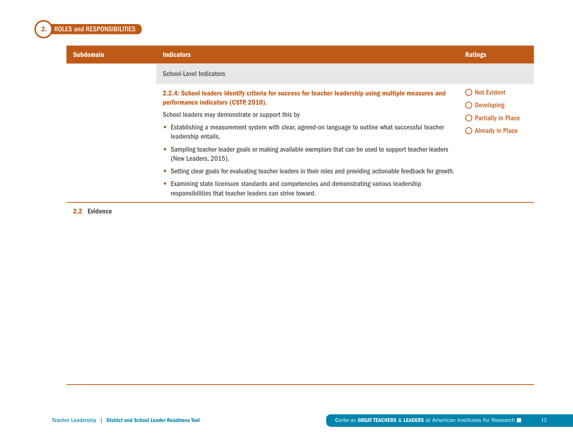

| <b>Subdomain</b> | <b>Indicators</b>                                                                                                                                     | <b>Ratings</b>                                  |
|------------------|-------------------------------------------------------------------------------------------------------------------------------------------------------|-------------------------------------------------|
|                  | <b>School-Level Indicators</b>                                                                                                                        |                                                 |
|                  | 2.2.4: School leaders identify criteria for success for teacher leadership using multiple measures and<br>performance indicators (CSTP, 2010).        | $\bigcirc$ Not Evident<br>$\bigcirc$ Developing |
|                  | School leaders may demonstrate or support this by                                                                                                     | $\bigcirc$ Partially in Place                   |
|                  | • Establishing a measurement system with clear, agreed-on language to outline what successful teacher<br>leadership entails.                          | $\bigcirc$ Already in Place                     |
|                  | • Sampling teacher leader goals or making available exemplars that can be used to support teacher leaders<br>(New Leaders, 2015).                     |                                                 |
|                  | Setting clear goals for evaluating teacher leaders in their roles and providing actionable feedback for growth.<br>$\bullet$                          |                                                 |
|                  | Examining state licensure standards and competencies and demonstrating various leadership<br>responsibilities that teacher leaders can strive toward. |                                                 |

2.2 Evidence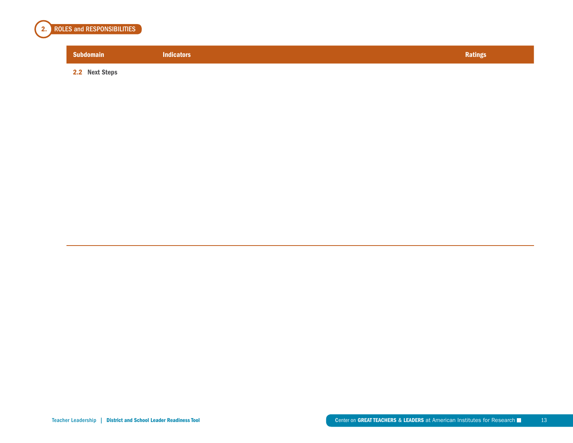

# Subdomain Indicators Ratings (Research Description of the Control of the Control of the Control of the Ratings

2.2 Next Steps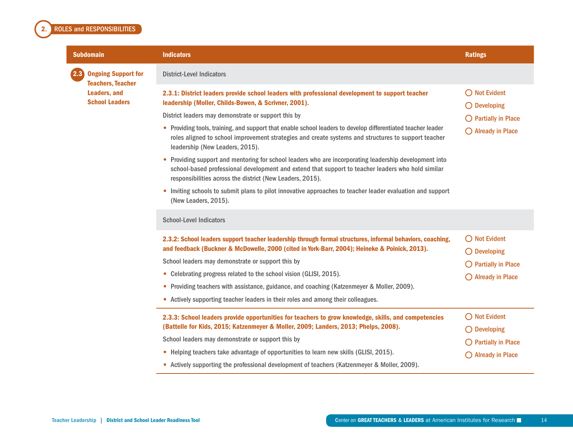#### <span id="page-14-0"></span>2. ROLES and RESPONSIBILITIES

| <b>Subdomain</b>                                              | <b>Indicators</b>                                                                                                                                                                                                                                                                                                                                                                                                                                                                                                                                                                                                                                                                                                                                                                                                                                                                      | <b>Ratings</b>                                                                                                  |
|---------------------------------------------------------------|----------------------------------------------------------------------------------------------------------------------------------------------------------------------------------------------------------------------------------------------------------------------------------------------------------------------------------------------------------------------------------------------------------------------------------------------------------------------------------------------------------------------------------------------------------------------------------------------------------------------------------------------------------------------------------------------------------------------------------------------------------------------------------------------------------------------------------------------------------------------------------------|-----------------------------------------------------------------------------------------------------------------|
| 2.3<br><b>Ongoing Support for</b><br><b>Teachers, Teacher</b> | <b>District-Level Indicators</b>                                                                                                                                                                                                                                                                                                                                                                                                                                                                                                                                                                                                                                                                                                                                                                                                                                                       |                                                                                                                 |
| <b>Leaders, and</b><br><b>School Leaders</b>                  | 2.3.1: District leaders provide school leaders with professional development to support teacher<br>leadership (Moller, Childs-Bowen, & Scrivner, 2001).<br>District leaders may demonstrate or support this by<br>• Providing tools, training, and support that enable school leaders to develop differentiated teacher leader<br>roles aligned to school improvement strategies and create systems and structures to support teacher<br>leadership (New Leaders, 2015).<br>Providing support and mentoring for school leaders who are incorporating leadership development into<br>school-based professional development and extend that support to teacher leaders who hold similar<br>responsibilities across the district (New Leaders, 2015).<br>Inviting schools to submit plans to pilot innovative approaches to teacher leader evaluation and support<br>(New Leaders, 2015). | ◯ Not Evident<br>$\bigcirc$ Developing<br>$\bigcirc$ Partially in Place<br>O Already in Place                   |
|                                                               | <b>School-Level Indicators</b>                                                                                                                                                                                                                                                                                                                                                                                                                                                                                                                                                                                                                                                                                                                                                                                                                                                         |                                                                                                                 |
|                                                               | 2.3.2: School leaders support teacher leadership through formal structures, informal behaviors, coaching,<br>and feedback (Buckner & McDowelle, 2000 (cited in York-Barr, 2004); Heineke & Poinick, 2013).<br>School leaders may demonstrate or support this by<br>• Celebrating progress related to the school vision (GLISI, 2015).<br>• Providing teachers with assistance, guidance, and coaching (Katzenmeyer & Moller, 2009).<br>• Actively supporting teacher leaders in their roles and among their colleagues.                                                                                                                                                                                                                                                                                                                                                                | $\bigcirc$ Not Evident<br>$\bigcirc$ Developing<br>$\bigcirc$ Partially in Place<br>◯ Already in Place          |
|                                                               | 2.3.3: School leaders provide opportunities for teachers to grow knowledge, skills, and competencies<br>(Battelle for Kids, 2015; Katzenmeyer & Moller, 2009; Landers, 2013; Phelps, 2008).<br>School leaders may demonstrate or support this by<br>• Helping teachers take advantage of opportunities to learn new skills (GLISI, 2015).<br>• Actively supporting the professional development of teachers (Katzenmeyer & Moller, 2009).                                                                                                                                                                                                                                                                                                                                                                                                                                              | $\bigcirc$ Not Evident<br>$\bigcirc$ Developing<br>$\bigcirc$ Partially in Place<br>$\bigcirc$ Already in Place |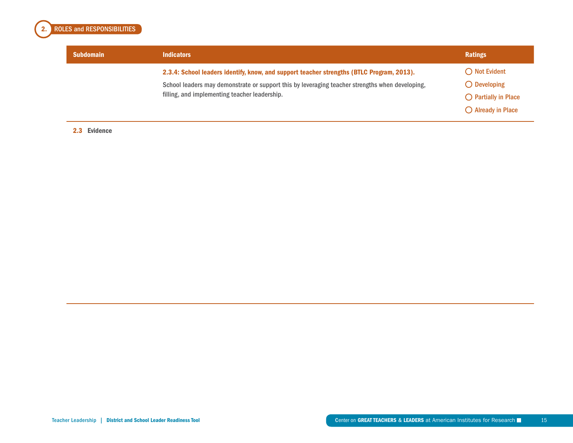

| <b>Subdomain</b> | <b>Indicators</b>                                                                               | Ratings                       |
|------------------|-------------------------------------------------------------------------------------------------|-------------------------------|
|                  | 2.3.4: School leaders identify, know, and support teacher strengths (BTLC Program, 2013).       | $\bigcirc$ Not Evident        |
|                  | School leaders may demonstrate or support this by leveraging teacher strengths when developing, | $\bigcirc$ Developing         |
|                  | filling, and implementing teacher leadership.                                                   | $\bigcirc$ Partially in Place |
|                  |                                                                                                 | $\bigcirc$ Already in Place   |

#### 2.3 Evidence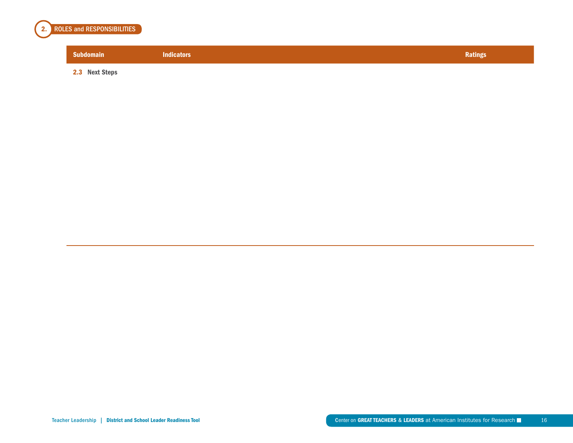

# Subdomain Indicators Ratings (Research Description of the Control of the Control of the Control of the Ratings

2.3 Next Steps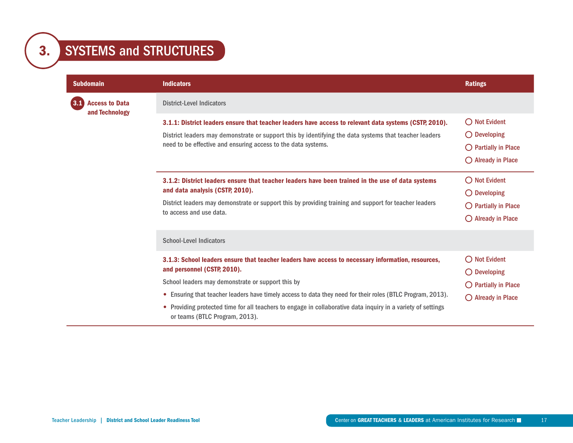<span id="page-17-0"></span>

| <b>Subdomain</b>                        | <b>Indicators</b>                                                                                                                                                                                                                                                                | <b>Ratings</b>                                                                                                  |
|-----------------------------------------|----------------------------------------------------------------------------------------------------------------------------------------------------------------------------------------------------------------------------------------------------------------------------------|-----------------------------------------------------------------------------------------------------------------|
| <b>Access to Data</b><br>and Technology | <b>District-Level Indicators</b>                                                                                                                                                                                                                                                 |                                                                                                                 |
|                                         | 3.1.1: District leaders ensure that teacher leaders have access to relevant data systems (CSTP, 2010).<br>District leaders may demonstrate or support this by identifying the data systems that teacher leaders<br>need to be effective and ensuring access to the data systems. | $\bigcirc$ Not Evident<br>$\bigcirc$ Developing<br>$\bigcirc$ Partially in Place<br>$\bigcirc$ Already in Place |
|                                         | 3.1.2: District leaders ensure that teacher leaders have been trained in the use of data systems<br>and data analysis (CSTP, 2010).<br>District leaders may demonstrate or support this by providing training and support for teacher leaders<br>to access and use data.         | $\bigcap$ Not Evident<br>$\bigcirc$ Developing<br>$\bigcirc$ Partially in Place<br>$\bigcirc$ Already in Place  |
|                                         | <b>School-Level Indicators</b>                                                                                                                                                                                                                                                   |                                                                                                                 |
|                                         | 3.1.3: School leaders ensure that teacher leaders have access to necessary information, resources,<br>and personnel (CSTP, 2010).<br>School leaders may demonstrate or support this by                                                                                           | $\bigcirc$ Not Evident<br>$\bigcirc$ Developing<br>$\bigcirc$ Partially in Place                                |
|                                         | • Ensuring that teacher leaders have timely access to data they need for their roles (BTLC Program, 2013).<br>• Providing protected time for all teachers to engage in collaborative data inquiry in a variety of settings<br>or teams (BTLC Program, 2013).                     | $\bigcirc$ Already in Place                                                                                     |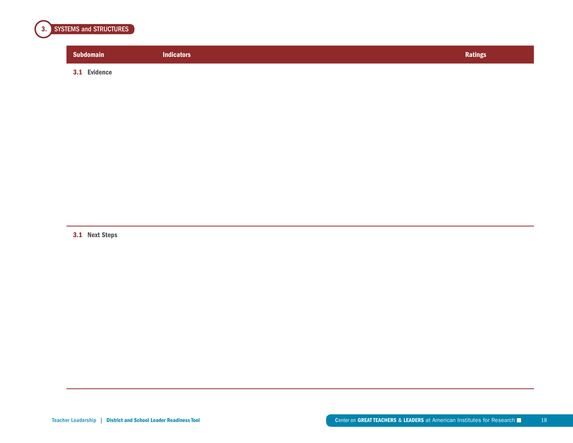

| <b>Subdomain</b>       | <b>Indicators</b> | <b>Ratings</b> |
|------------------------|-------------------|----------------|
| <b>Evidence</b><br>3.1 |                   |                |

3.1 Next Steps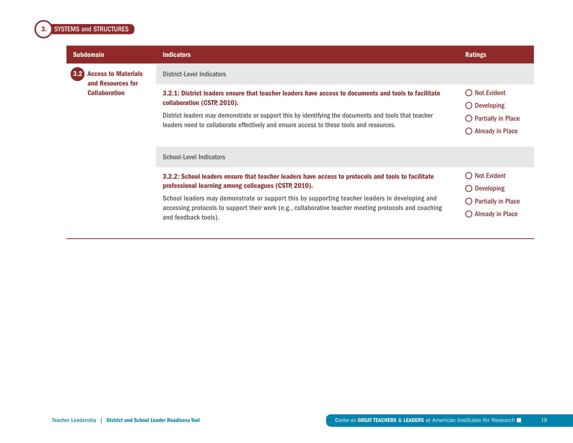### <span id="page-19-0"></span>**3.** SYSTEMS and STRUCTURES

| <b>Subdomain</b>                                       | <b>Indicators</b>                                                                                                                                                                                                                                                                                                                                                                             | <b>Ratings</b>                                                                                              |
|--------------------------------------------------------|-----------------------------------------------------------------------------------------------------------------------------------------------------------------------------------------------------------------------------------------------------------------------------------------------------------------------------------------------------------------------------------------------|-------------------------------------------------------------------------------------------------------------|
| 3.2<br><b>Access to Materials</b><br>and Resources for | <b>District-Level Indicators</b>                                                                                                                                                                                                                                                                                                                                                              |                                                                                                             |
| <b>Collaboration</b>                                   | 3.2.1: District leaders ensure that teacher leaders have access to documents and tools to facilitate<br>collaboration (CSTP, 2010).<br>District leaders may demonstrate or support this by identifying the documents and tools that teacher<br>leaders need to collaborate effectively and ensure access to these tools and resources.                                                        | $\bigcirc$ Not Evident<br>$\bigcirc$ Developing<br>() Partially in Place<br>$\bigcirc$ Already in Place     |
|                                                        | <b>School-Level Indicators</b>                                                                                                                                                                                                                                                                                                                                                                |                                                                                                             |
|                                                        | 3.2.2: School leaders ensure that teacher leaders have access to protocols and tools to facilitate<br>professional learning among colleagues (CSTP, 2010).<br>School leaders may demonstrate or support this by supporting teacher leaders in developing and<br>accessing protocols to support their work (e.g., collaborative teacher meeting protocols and coaching<br>and feedback tools). | $\bigcirc$ Not Evident<br>$\bigcirc$ Developing<br>$\bigcirc$ Partially in Place<br><b>Already in Place</b> |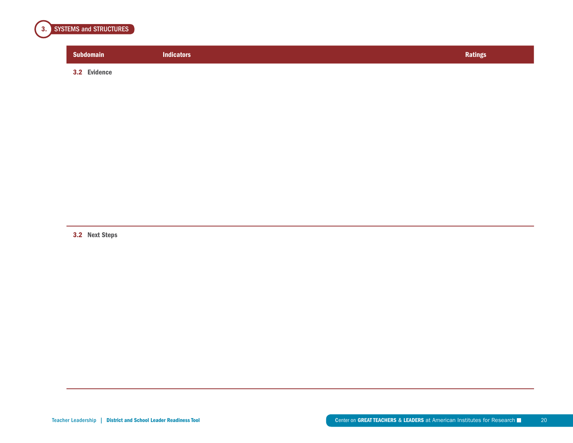

| <b>Subdomain</b> | <b>Indicators</b> | <b>Ratings</b> |
|------------------|-------------------|----------------|
| 3.2 Evidence     |                   |                |

3.2 Next Steps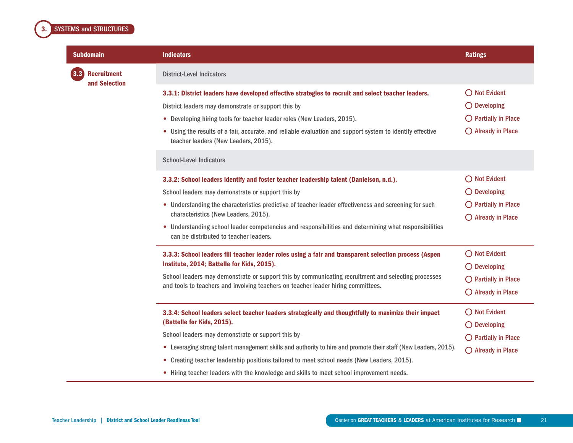### <span id="page-21-0"></span>**3.** SYSTEMS and STRUCTURES

|       | <b>Subdomain</b>                    | <b>Indicators</b>                                                                                                                                                                                                                                                                                                                                                                         | <b>Ratings</b>                                                                                         |
|-------|-------------------------------------|-------------------------------------------------------------------------------------------------------------------------------------------------------------------------------------------------------------------------------------------------------------------------------------------------------------------------------------------------------------------------------------------|--------------------------------------------------------------------------------------------------------|
| (3.3) | <b>Recruitment</b><br>and Selection | <b>District-Level Indicators</b>                                                                                                                                                                                                                                                                                                                                                          |                                                                                                        |
|       |                                     | 3.3.1: District leaders have developed effective strategies to recruit and select teacher leaders.<br>District leaders may demonstrate or support this by<br>• Developing hiring tools for teacher leader roles (New Leaders, 2015).<br>• Using the results of a fair, accurate, and reliable evaluation and support system to identify effective<br>teacher leaders (New Leaders, 2015). | $\bigcirc$ Not Evident<br>$\bigcirc$ Developing<br>$\bigcirc$ Partially in Place<br>◯ Already in Place |
|       |                                     | <b>School-Level Indicators</b><br>3.3.2: School leaders identify and foster teacher leadership talent (Danielson, n.d.).                                                                                                                                                                                                                                                                  | $\bigcirc$ Not Evident                                                                                 |
|       |                                     | School leaders may demonstrate or support this by                                                                                                                                                                                                                                                                                                                                         | $\bigcirc$ Developing                                                                                  |
|       |                                     | • Understanding the characteristics predictive of teacher leader effectiveness and screening for such<br>characteristics (New Leaders, 2015).                                                                                                                                                                                                                                             | $\bigcirc$ Partially in Place<br>$\bigcirc$ Already in Place                                           |
|       |                                     | • Understanding school leader competencies and responsibilities and determining what responsibilities<br>can be distributed to teacher leaders.                                                                                                                                                                                                                                           |                                                                                                        |
|       |                                     | 3.3.3: School leaders fill teacher leader roles using a fair and transparent selection process (Aspen<br>Institute, 2014; Battelle for Kids, 2015).                                                                                                                                                                                                                                       | $\bigcirc$ Not Evident<br>$\bigcirc$ Developing                                                        |
|       |                                     | School leaders may demonstrate or support this by communicating recruitment and selecting processes<br>and tools to teachers and involving teachers on teacher leader hiring committees.                                                                                                                                                                                                  | $\bigcirc$ Partially in Place<br>$\bigcirc$ Already in Place                                           |
|       |                                     | 3.3.4: School leaders select teacher leaders strategically and thoughtfully to maximize their impact<br>(Battelle for Kids, 2015).                                                                                                                                                                                                                                                        | $\bigcirc$ Not Evident<br>$\bigcirc$ Developing                                                        |
|       |                                     | School leaders may demonstrate or support this by                                                                                                                                                                                                                                                                                                                                         | $\bigcirc$ Partially in Place                                                                          |
|       |                                     | • Leveraging strong talent management skills and authority to hire and promote their staff (New Leaders, 2015).<br>• Creating teacher leadership positions tailored to meet school needs (New Leaders, 2015).<br>• Hiring teacher leaders with the knowledge and skills to meet school improvement needs.                                                                                 | $O$ Already in Place                                                                                   |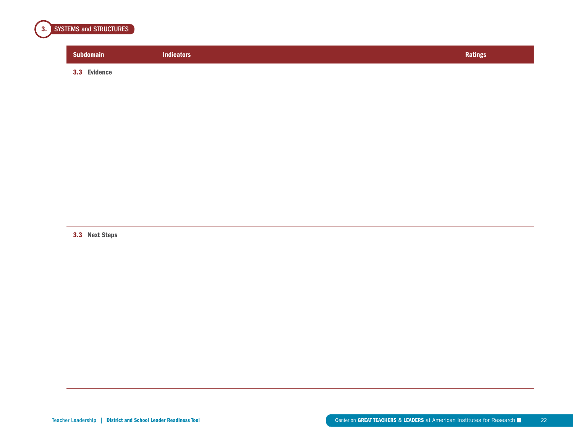

| <b>Subdomain</b> | <b>Indicators</b> | Ratings |
|------------------|-------------------|---------|
| 3.3 Evidence     |                   |         |

3.3 Next Steps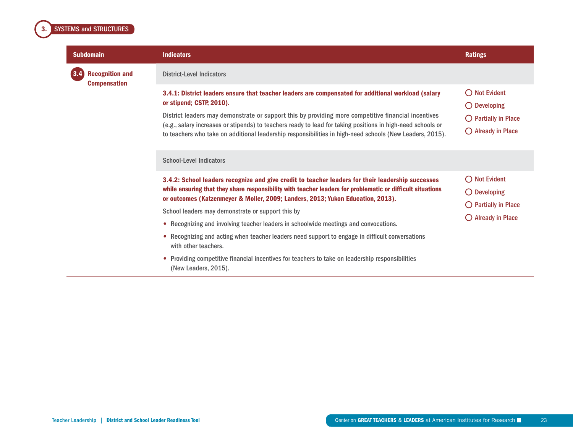<span id="page-23-0"></span>

| <b>Subdomain</b>                                     | <b>Indicators</b>                                                                                                                                                                                                                                                                                                                                                                                                                                                 | <b>Ratings</b>                                                                                                  |
|------------------------------------------------------|-------------------------------------------------------------------------------------------------------------------------------------------------------------------------------------------------------------------------------------------------------------------------------------------------------------------------------------------------------------------------------------------------------------------------------------------------------------------|-----------------------------------------------------------------------------------------------------------------|
| 3.4<br><b>Recognition and</b><br><b>Compensation</b> | <b>District-Level Indicators</b>                                                                                                                                                                                                                                                                                                                                                                                                                                  |                                                                                                                 |
|                                                      | 3.4.1: District leaders ensure that teacher leaders are compensated for additional workload (salary<br>or stipend; CSTP, 2010).<br>District leaders may demonstrate or support this by providing more competitive financial incentives<br>(e.g., salary increases or stipends) to teachers ready to lead for taking positions in high-need schools or<br>to teachers who take on additional leadership responsibilities in high-need schools (New Leaders, 2015). | $\bigcirc$ Not Evident<br>$\bigcirc$ Developing<br>$\bigcirc$ Partially in Place<br>$\bigcirc$ Already in Place |
|                                                      | <b>School-Level Indicators</b>                                                                                                                                                                                                                                                                                                                                                                                                                                    |                                                                                                                 |
|                                                      | 3.4.2: School leaders recognize and give credit to teacher leaders for their leadership successes<br>while ensuring that they share responsibility with teacher leaders for problematic or difficult situations<br>or outcomes (Katzenmeyer & Moller, 2009; Landers, 2013; Yukon Education, 2013).                                                                                                                                                                | $\bigcirc$ Not Evident<br>$\bigcirc$ Developing                                                                 |
|                                                      | School leaders may demonstrate or support this by                                                                                                                                                                                                                                                                                                                                                                                                                 | $\bigcirc$ Partially in Place<br>$\bigcirc$ Already in Place                                                    |
|                                                      | • Recognizing and involving teacher leaders in schoolwide meetings and convocations.                                                                                                                                                                                                                                                                                                                                                                              |                                                                                                                 |
|                                                      | • Recognizing and acting when teacher leaders need support to engage in difficult conversations<br>with other teachers.                                                                                                                                                                                                                                                                                                                                           |                                                                                                                 |
|                                                      | • Providing competitive financial incentives for teachers to take on leadership responsibilities<br>(New Leaders, 2015).                                                                                                                                                                                                                                                                                                                                          |                                                                                                                 |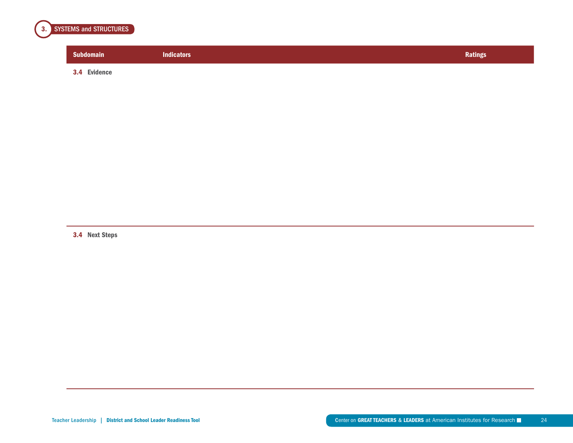

| <b>Subdomain</b> | <b>Indicators</b> | <b>Ratings</b> |
|------------------|-------------------|----------------|
| 3.4 Evidence     |                   |                |

3.4 Next Steps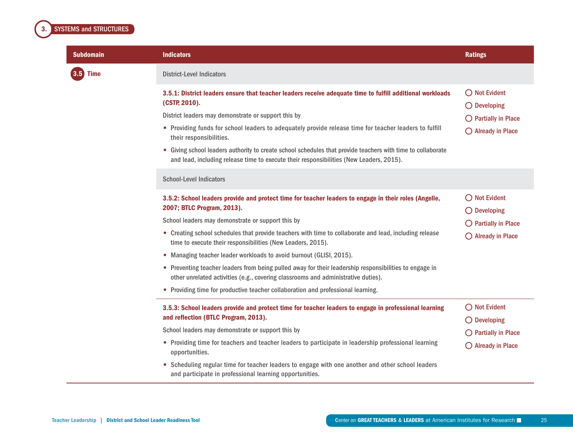<span id="page-25-0"></span>

| <b>Subdomain</b> | <b>Indicators</b>                                                                                                                                                                                      | <b>Ratings</b>                                  |
|------------------|--------------------------------------------------------------------------------------------------------------------------------------------------------------------------------------------------------|-------------------------------------------------|
| $3.5$ Time       | <b>District-Level Indicators</b>                                                                                                                                                                       |                                                 |
|                  | 3.5.1: District leaders ensure that teacher leaders receive adequate time to fulfill additional workloads<br>(CSTP, 2010).                                                                             | ◯ Not Evident<br>$\bigcirc$ Developing          |
|                  | District leaders may demonstrate or support this by                                                                                                                                                    | $\bigcirc$ Partially in Place                   |
|                  | • Providing funds for school leaders to adequately provide release time for teacher leaders to fulfill<br>their responsibilities.                                                                      | $\bigcirc$ Already in Place                     |
|                  | • Giving school leaders authority to create school schedules that provide teachers with time to collaborate<br>and lead, including release time to execute their responsibilities (New Leaders, 2015). |                                                 |
|                  | <b>School-Level Indicators</b>                                                                                                                                                                         |                                                 |
|                  | 3.5.2: School leaders provide and protect time for teacher leaders to engage in their roles (Angelle,<br>2007; BTLC Program, 2013).                                                                    | $\bigcirc$ Not Evident<br>$\bigcirc$ Developing |
|                  | School leaders may demonstrate or support this by                                                                                                                                                      | $\bigcirc$ Partially in Place                   |
|                  | • Creating school schedules that provide teachers with time to collaborate and lead, including release<br>time to execute their responsibilities (New Leaders, 2015).                                  | $\bigcirc$ Already in Place                     |
|                  | • Managing teacher leader workloads to avoid burnout (GLISI, 2015).                                                                                                                                    |                                                 |
|                  | • Preventing teacher leaders from being pulled away for their leadership responsibilities to engage in<br>other unrelated activities (e.g., covering classrooms and administrative duties).            |                                                 |
|                  | • Providing time for productive teacher collaboration and professional learning.                                                                                                                       |                                                 |
|                  | 3.5.3: School leaders provide and protect time for teacher leaders to engage in professional learning<br>and reflection (BTLC Program, 2013).                                                          | $\bigcirc$ Not Evident<br>$\bigcirc$ Developing |
|                  | School leaders may demonstrate or support this by                                                                                                                                                      | $\bigcirc$ Partially in Place                   |
|                  | • Providing time for teachers and teacher leaders to participate in leadership professional learning<br>opportunities.                                                                                 | $\bigcirc$ Already in Place                     |
|                  | • Scheduling regular time for teacher leaders to engage with one another and other school leaders<br>and participate in professional learning opportunities.                                           |                                                 |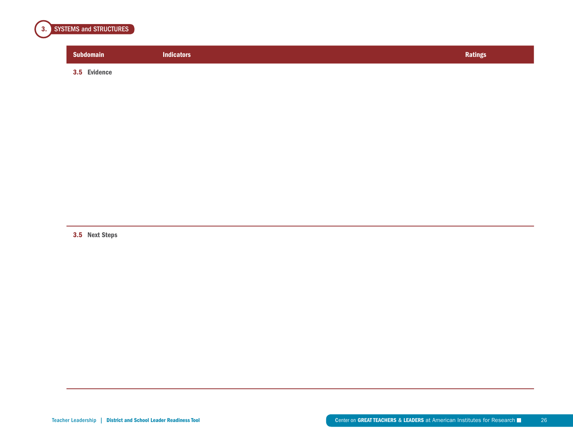

| <b>Subdomain</b> | <b>Indicators</b> | <b>Ratings</b> |
|------------------|-------------------|----------------|
| 3.5 Evidence     |                   |                |

3.5 Next Steps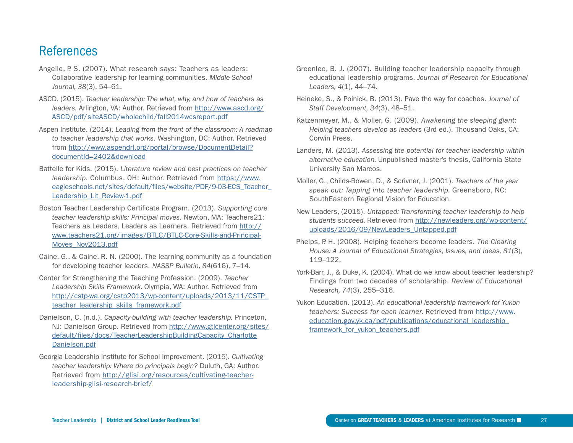## **References**

- Angelle, P. S. (2007). What research says: Teachers as leaders: Collaborative leadership for learning communities. *Middle School Journal, 38*(3), 54–61.
- ASCD. (2015). *Teacher leadership: The what, why, and how of teachers as leaders.* Arlington, VA: Author. Retrieved from [http://www.ascd.org/](http://www.ascd.org/ASCD/pdf/siteASCD/wholechild/fall2014wcsreport.pdf) [ASCD/pdf/siteASCD/wholechild/fall2014wcsreport.pdf](http://www.ascd.org/ASCD/pdf/siteASCD/wholechild/fall2014wcsreport.pdf)
- Aspen Institute. (2014). *Leading from the front of the classroom: A roadmap to teacher leadership that works.* Washington, DC: Author. Retrieved from [http://www.aspendrl.org/portal/browse/DocumentDetail?](http://www.aspendrl.org/portal/browse/DocumentDetail?documentId=2402&download) [documentId=2402&download](http://www.aspendrl.org/portal/browse/DocumentDetail?documentId=2402&download)
- Battelle for Kids. (2015). *Literature review and best practices on teacher leadership.* Columbus, OH: Author. Retrieved from [https://www.](https://www.eagleschools.net/sites/default/files/website/PDF/9-03-ECS_Teacher_Leadership_Lit_Review-1.pdf) [eagleschools.net/sites/default/files/website/PDF/9-03-ECS\\_Teacher\\_](https://www.eagleschools.net/sites/default/files/website/PDF/9-03-ECS_Teacher_Leadership_Lit_Review-1.pdf) [Leadership\\_Lit\\_Review-1.pdf](https://www.eagleschools.net/sites/default/files/website/PDF/9-03-ECS_Teacher_Leadership_Lit_Review-1.pdf)
- Boston Teacher Leadership Certificate Program. (2013). *Supporting core teacher leadership skills: Principal moves.* Newton, MA: Teachers21: Teachers as Leaders, Leaders as Learners. Retrieved from [http://](http://www.teachers21.org/images/BTLC/BTLC-Core-Skills-and-Principal-Moves_Nov2013.pdf) [www.teachers21.org/images/BTLC/BTLC-Core-Skills-and-Principal-](http://www.teachers21.org/images/BTLC/BTLC-Core-Skills-and-Principal-Moves_Nov2013.pdf)[Moves\\_Nov2013.pdf](http://www.teachers21.org/images/BTLC/BTLC-Core-Skills-and-Principal-Moves_Nov2013.pdf)
- Caine, G., & Caine, R. N. (2000). The learning community as a foundation for developing teacher leaders. *NASSP Bulletin, 84*(616), 7–14.
- Center for Strengthening the Teaching Profession. (2009). *Teacher Leadership Skills Framework.* Olympia, WA: Author. Retrieved from [http://cstp-wa.org/cstp2013/wp-content/uploads/2013/11/CSTP\\_](http://cstp-wa.org/cstp2013/wp-content/uploads/2013/11/CSTP_teacher_leadership_skills_framework.pdf) [teacher\\_leadership\\_skills\\_framework.pdf](http://cstp-wa.org/cstp2013/wp-content/uploads/2013/11/CSTP_teacher_leadership_skills_framework.pdf)
- Danielson, C. (n.d.). *Capacity-building with teacher leadership.* Princeton, NJ: Danielson Group. Retrieved from [http://www.gtlcenter.org/sites/](http://www.gtlcenter.org/sites/default/files/docs/TeacherLeadershipBuildingCapacity_CharlotteDanielson.pdf) [default/files/docs/TeacherLeadershipBuildingCapacity\\_Charlotte](http://www.gtlcenter.org/sites/default/files/docs/TeacherLeadershipBuildingCapacity_CharlotteDanielson.pdf) [Danielson.pdf](http://www.gtlcenter.org/sites/default/files/docs/TeacherLeadershipBuildingCapacity_CharlotteDanielson.pdf)
- Georgia Leadership Institute for School Improvement. (2015). *Cultivating teacher leadership: Where do principals begin?* Duluth, GA: Author. Retrieved from [http://glisi.org/resources/cultivating-teacher](http://glisi.org/resources/cultivating-teacher-leadership-glisi-research-brief/)[leadership-glisi-research-brief/](http://glisi.org/resources/cultivating-teacher-leadership-glisi-research-brief/)
- Greenlee, B. J. (2007). Building teacher leadership capacity through educational leadership programs. *Journal of Research for Educational Leaders, 4*(1), 44–74.
- Heineke, S., & Poinick, B. (2013). Pave the way for coaches. *Journal of Staff Development, 34*(3), 48–51.
- Katzenmeyer, M., & Moller, G. (2009). *Awakening the sleeping giant: Helping teachers develop as leaders* (3rd ed.). Thousand Oaks, CA: Corwin Press.
- Landers, M. (2013). *Assessing the potential for teacher leadership within alternative education.* Unpublished master's thesis, California State University San Marcos.
- Moller, G., Childs-Bowen, D., & Scrivner, J. (2001). *Teachers of the year speak out: Tapping into teacher leadership.* Greensboro, NC: SouthEastern Regional Vision for Education.
- New Leaders, (2015). *Untapped: Transforming teacher leadership to help students succeed.* Retrieved from [http://newleaders.org/wp-content/](http://newleaders.org/wp-content/uploads/2016/09/NewLeaders_Untapped.pdf) [uploads/2016/09/NewLeaders\\_Untapped.pdf](http://newleaders.org/wp-content/uploads/2016/09/NewLeaders_Untapped.pdf)
- Phelps, P. H. (2008). Helping teachers become leaders. *The Clearing House: A Journal of Educational Strategies, Issues, and Ideas, 81*(3), 119–122.
- York-Barr, J., & Duke, K. (2004). What do we know about teacher leadership? Findings from two decades of scholarship. *Review of Educational Research, 74*(3), 255–316.
- Yukon Education. (2013). *An educational leadership framework for Yukon teachers: Success for each learner.* Retrieved from [http://www.](http://www.education.gov.yk.ca/pdf/publications/educational_leadership_framework_for_yukon_teachers.pdf) [education.gov.yk.ca/pdf/publications/educational\\_leadership\\_](http://www.education.gov.yk.ca/pdf/publications/educational_leadership_framework_for_yukon_teachers.pdf) framework for yukon teachers.pdf